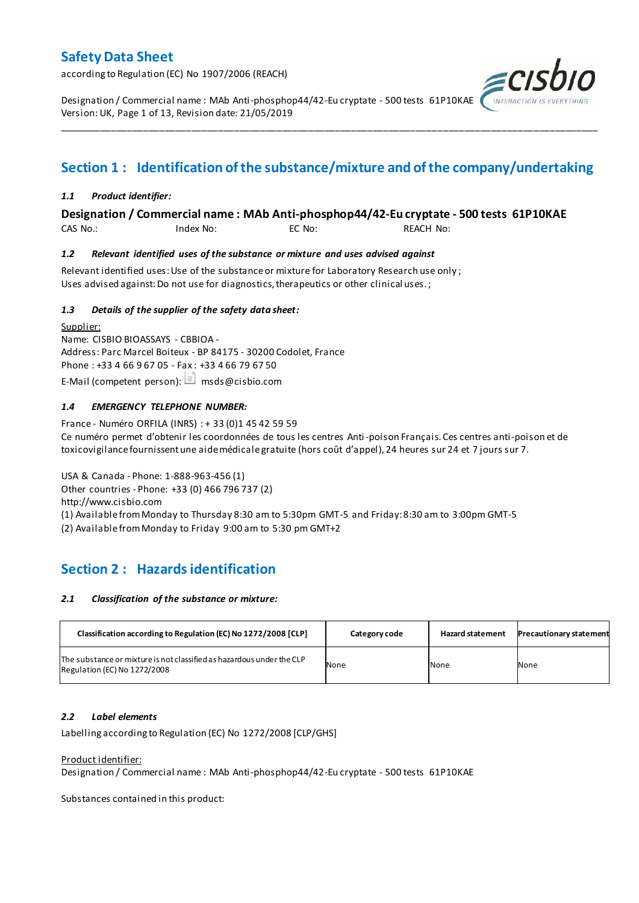according to Regulation (EC) No 1907/2006 (REACH)

Designation / Commercial name : MAb Anti-phosphop44/42-Eu cryptate - 500 tests 61P10KAE Version: UK, Page 1 of 13, Revision date: 21/05/2019

## **Section 1 : Identification of the substance/mixture and of the company/undertaking**

\_\_\_\_\_\_\_\_\_\_\_\_\_\_\_\_\_\_\_\_\_\_\_\_\_\_\_\_\_\_\_\_\_\_\_\_\_\_\_\_\_\_\_\_\_\_\_\_\_\_\_\_\_\_\_\_\_\_\_\_\_\_\_\_\_\_\_\_\_\_\_\_\_\_\_\_\_\_\_\_\_\_\_\_\_\_\_\_\_\_\_\_\_\_\_\_\_\_\_\_\_

### *1.1 Product identifier:*

### **Designation / Commercial name : MAb Anti-phosphop44/42-Eu cryptate - 500 tests 61P10KAE**

CAS No.: Index No: EC No: REACH No:

### *1.2 Relevant identified uses of the substance or mixture and uses advised against*

Relevant identified uses: Use of the substance or mixture for Laboratory Research use only ; Uses advised against: Do not use for diagnostics, therapeutics or other clinical uses.;

### *1.3 Details of the supplier of the safety data sheet:*

Supplier: Name: CISBIO BIOASSAYS - CBBIOA - Address: Parc Marcel Boiteux - BP 84175 - 30200 Codolet, France Phone : +33 4 66 9 67 05 - Fax : +33 4 66 79 67 50 E-Mail (competent person):  $\Box$  msds@cisbio.com

### *1.4 EMERGENCY TELEPHONE NUMBER:*

France - Numéro ORFILA (INRS) : + 33 (0)1 45 42 59 59 Ce numéro permet d'obtenir les coordonnées de tous les centres Anti-poison Français. Ces centres anti-poison et de toxicovigilance fournissent une aide médicale gratuite (hors coût d'appel), 24 heures sur 24 et 7 jours sur 7.

USA & Canada - Phone: 1-888-963-456 (1) Other countries - Phone: +33 (0) 466 796 737 (2) http://www.cisbio.com (1) Available from Monday to Thursday 8:30 am to 5:30pm GMT-5 and Friday: 8:30 am to 3:00pm GMT-5

(2) Available from Monday to Friday 9:00 am to 5:30 pm GMT+2

## **Section 2 : Hazards identification**

### *2.1 Classification of the substance or mixture:*

| Classification according to Regulation (EC) No 1272/2008 [CLP]                                        | Category code | <b>Hazard statement</b> | <b>Precautionary statement</b> |
|-------------------------------------------------------------------------------------------------------|---------------|-------------------------|--------------------------------|
| The substance or mixture is not classified as hazardous under the CLP<br>Regulation (EC) No 1272/2008 | None          | None                    | None                           |

### *2.2 Label elements*

Labelling according to Regulation (EC) No 1272/2008 [CLP/GHS]

### Product identifier:

Designation / Commercial name : MAb Anti-phosphop44/42-Eu cryptate - 500 tests 61P10KAE

Substances contained in this product:

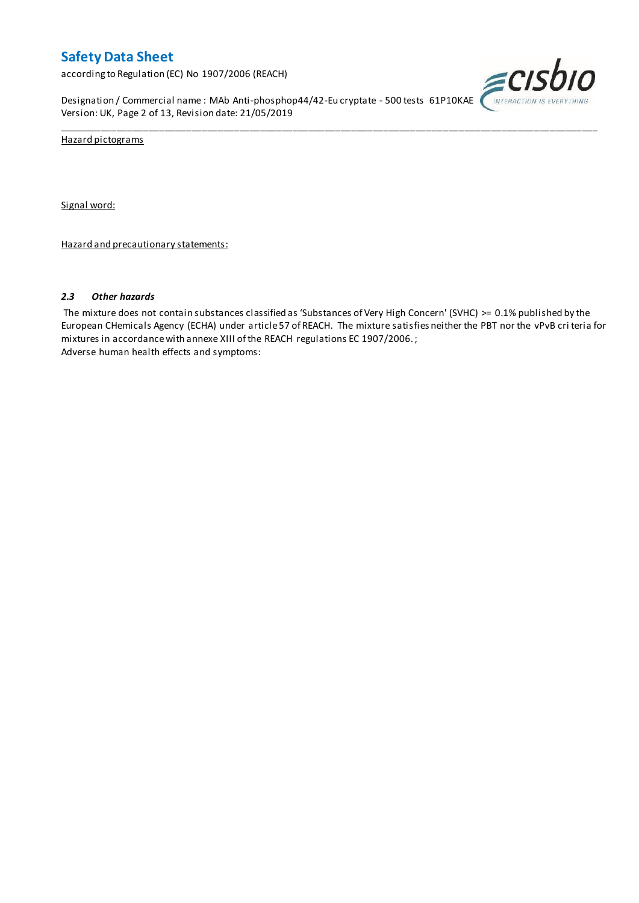according to Regulation (EC) No 1907/2006 (REACH)

Designation / Commercial name : MAb Anti-phosphop44/42-Eu cryptate - 500 tests 61P10KAE Version: UK, Page 2 of 13, Revision date: 21/05/2019



Hazard pictograms

Signal word:

Hazard and precautionary statements:

### *2.3 Other hazards*

The mixture does not contain substances classified as 'Substances of Very High Concern' (SVHC) >= 0.1% published by the European CHemicals Agency (ECHA) under article 57 of REACH. The mixture satisfies neither the PBT nor the vPvB cri teria for mixtures in accordance with annexe XIII of the REACH regulations EC 1907/2006. ; Adverse human health effects and symptoms:

\_\_\_\_\_\_\_\_\_\_\_\_\_\_\_\_\_\_\_\_\_\_\_\_\_\_\_\_\_\_\_\_\_\_\_\_\_\_\_\_\_\_\_\_\_\_\_\_\_\_\_\_\_\_\_\_\_\_\_\_\_\_\_\_\_\_\_\_\_\_\_\_\_\_\_\_\_\_\_\_\_\_\_\_\_\_\_\_\_\_\_\_\_\_\_\_\_\_\_\_\_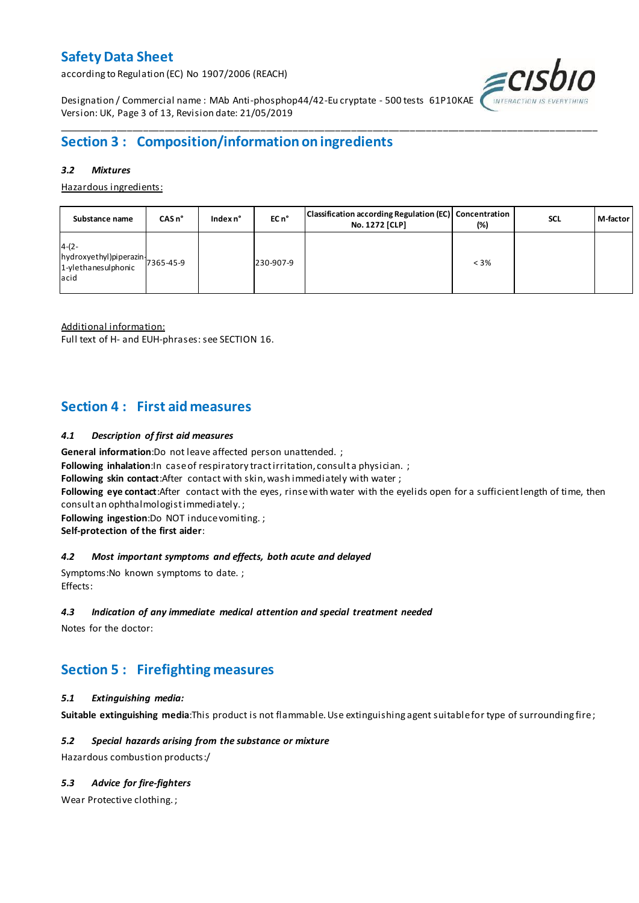according to Regulation (EC) No 1907/2006 (REACH)



Designation / Commercial name : MAb Anti-phosphop44/42-Eu cryptate - 500 tests 61P10KAE Version: UK, Page 3 of 13, Revision date: 21/05/2019

## **Section 3 : Composition/information on ingredients**

### *3.2 Mixtures*

Hazardous ingredients:

| Substance name                                                               | CASn <sup>°</sup> | Index n° | EC n <sup>o</sup> | Classification according Regulation (EC) Concentration<br>No. 1272 [CLP] | (%)     | <b>SCL</b> | M-factor |
|------------------------------------------------------------------------------|-------------------|----------|-------------------|--------------------------------------------------------------------------|---------|------------|----------|
| $4-(2-$<br>hydroxyethyl)piperazin-<br>1-ylethanesulphonic 7365-45-9<br>lacid |                   |          | 230-907-9         |                                                                          | $< 3\%$ |            |          |

\_\_\_\_\_\_\_\_\_\_\_\_\_\_\_\_\_\_\_\_\_\_\_\_\_\_\_\_\_\_\_\_\_\_\_\_\_\_\_\_\_\_\_\_\_\_\_\_\_\_\_\_\_\_\_\_\_\_\_\_\_\_\_\_\_\_\_\_\_\_\_\_\_\_\_\_\_\_\_\_\_\_\_\_\_\_\_\_\_\_\_\_\_\_\_\_\_\_\_\_\_

Additional information:

Full text of H- and EUH-phrases: see SECTION 16.

## **Section 4 : First aid measures**

### *4.1 Description of first aid measures*

**General information**:Do not leave affected person unattended. ;

**Following inhalation:**In case of respiratory tractirritation, consult a physician. ;

**Following skin contact**:After contact with skin, wash immediately with water ;

**Following eye contact**:After contact with the eyes, rinse with water with the eyelids open for a sufficient length of time, then consult an ophthalmologist immediately. ;

**Following ingestion**:Do NOT induce vomiting. ;

**Self-protection of the first aider**:

### *4.2 Most important symptoms and effects, both acute and delayed*

Symptoms:No known symptoms to date. ; Effects:

### *4.3 Indication of any immediate medical attention and special treatment needed*

Notes for the doctor:

## **Section 5 : Firefighting measures**

### *5.1 Extinguishing media:*

**Suitable extinguishing media**:This product is not flammable. Use extinguishing agent suitable for type of surrounding fire ;

### *5.2 Special hazards arising from the substance or mixture*

Hazardous combustion products:/

### *5.3 Advice for fire-fighters*

Wear Protective clothing. ;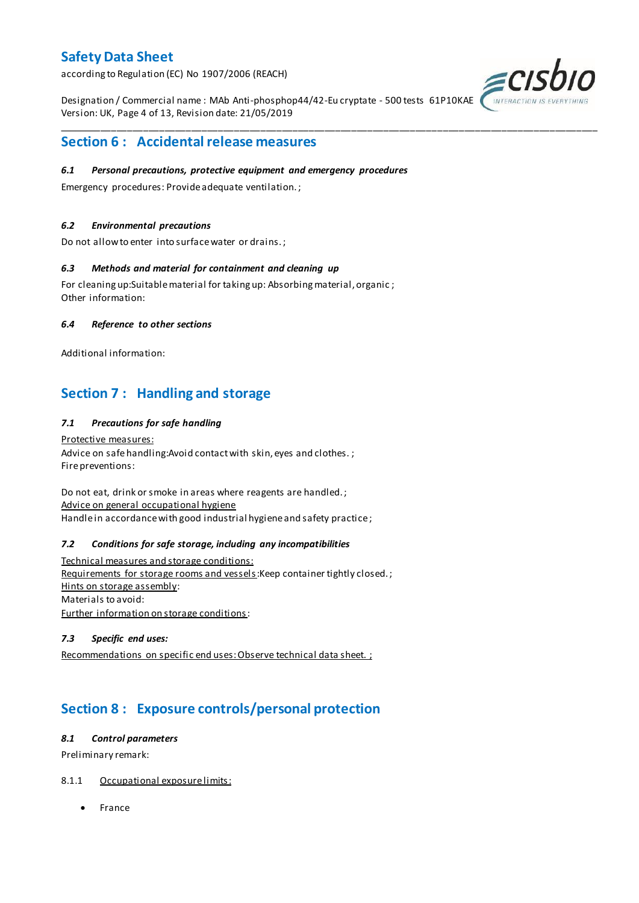according to Regulation (EC) No 1907/2006 (REACH)

Designation / Commercial name : MAb Anti-phosphop44/42-Eu cryptate - 500 tests 61P10KAE Version: UK, Page 4 of 13, Revision date: 21/05/2019

\_\_\_\_\_\_\_\_\_\_\_\_\_\_\_\_\_\_\_\_\_\_\_\_\_\_\_\_\_\_\_\_\_\_\_\_\_\_\_\_\_\_\_\_\_\_\_\_\_\_\_\_\_\_\_\_\_\_\_\_\_\_\_\_\_\_\_\_\_\_\_\_\_\_\_\_\_\_\_\_\_\_\_\_\_\_\_\_\_\_\_\_\_\_\_\_\_\_\_\_\_



## **Section 6 : Accidental release measures**

### *6.1 Personal precautions, protective equipment and emergency procedures*

Emergency procedures: Provide adequate ventilation. ;

### *6.2 Environmental precautions*

Do not allow to enter into surface water or drains. ;

### *6.3 Methods and material for containment and cleaning up*

For cleaning up:Suitable material for taking up: Absorbing material, organic ; Other information:

### *6.4 Reference to other sections*

Additional information:

## **Section 7 : Handling and storage**

### *7.1 Precautions for safe handling*

Protective measures: Advice on safe handling: Avoid contact with skin, eyes and clothes.; Fire preventions:

Do not eat, drink or smoke in areas where reagents are handled. ; Advice on general occupational hygiene Handle in accordance with good industrial hygiene and safety practice ;

### *7.2 Conditions for safe storage, including any incompatibilities*

Technical measures and storage conditions: Requirements for storage rooms and vessels: Keep container tightly closed.; Hints on storage assembly: Materials to avoid: Further information on storage conditions:

### *7.3 Specific end uses:*

Recommendations on specific end uses: Observe technical data sheet. ;

## **Section 8 : Exposure controls/personal protection**

### *8.1 Control parameters*

Preliminary remark:

### 8.1.1 Occupational exposure limits:

• France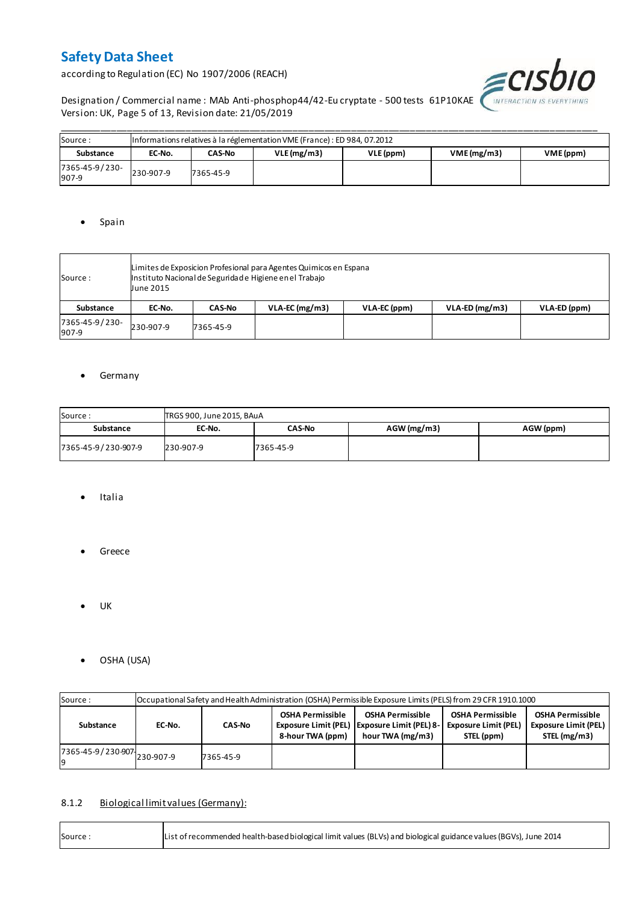according to Regulation (EC) No 1907/2006 (REACH)



Designation / Commercial name : MAb Anti-phosphop44/42-Eu cryptate - 500 tests 61P10KAE WITERACTION IS EVERYTHING Version: UK, Page 5 of 13, Revision date: 21/05/2019

| Source:                 | Informations relatives à la réglementation VME (France) : ED 984, 07.2012 |           |            |           |                         |  |  |  |  |  |  |  |
|-------------------------|---------------------------------------------------------------------------|-----------|------------|-----------|-------------------------|--|--|--|--|--|--|--|
| Substance               | EC-No.                                                                    | CAS-No    | VLE(mg/m3) | VLE (ppm) | VME(mg/m3)<br>VME (ppm) |  |  |  |  |  |  |  |
| 7365-45-9/230-<br>907-9 | 230-907-9                                                                 | 7365-45-9 |            |           |                         |  |  |  |  |  |  |  |

### • Spain

| Source :                | June 2015 | Limites de Exposicion Profesional para Agentes Quimicos en Espana<br>Instituto Nacional de Seguridade Higiene en el Trabajo |                  |              |                  |              |  |  |  |  |  |
|-------------------------|-----------|-----------------------------------------------------------------------------------------------------------------------------|------------------|--------------|------------------|--------------|--|--|--|--|--|
| Substance               | EC-No.    | <b>CAS-No</b>                                                                                                               | $VLA-EC$ (mg/m3) | VLA-EC (ppm) | $VLA-ED (mg/m3)$ | VLA-ED (ppm) |  |  |  |  |  |
| 7365-45-9/230-<br>907-9 | 230-907-9 | 7365-45-9                                                                                                                   |                  |              |                  |              |  |  |  |  |  |

### **•** Germany

| Source:<br>TRGS 900, June 2015, BAuA |           |               |               |           |  |  |  |  |  |  |
|--------------------------------------|-----------|---------------|---------------|-----------|--|--|--|--|--|--|
| Substance                            | EC-No.    | <b>CAS-No</b> | $AGW$ (mg/m3) | AGW (ppm) |  |  |  |  |  |  |
| 7365-45-9/230-907-9                  | 230-907-9 | 7365-45-9     |               |           |  |  |  |  |  |  |

- Italia
- **•** Greece
- $\bullet$  UK

r

OSHA (USA)

| Source:                       |        | Occupational Safety and Health Administration (OSHA) Permissible Exposure Limits (PELS) from 29 CFR 1910.1000 |  |                                                                                               |                                                                      |                                                                        |  |  |  |  |  |  |  |
|-------------------------------|--------|---------------------------------------------------------------------------------------------------------------|--|-----------------------------------------------------------------------------------------------|----------------------------------------------------------------------|------------------------------------------------------------------------|--|--|--|--|--|--|--|
| Substance                     | EC-No. | <b>CAS-No</b>                                                                                                 |  | <b>OSHA Permissible</b><br>Exposure Limit (PEL)   Exposure Limit (PEL) 8-<br>hour TWA (mg/m3) | <b>OSHA Permissible</b><br><b>Exposure Limit (PEL)</b><br>STEL (ppm) | <b>OSHA Permissible</b><br><b>Exposure Limit (PEL)</b><br>STEL (mg/m3) |  |  |  |  |  |  |  |
| 7365-45-9 / 230-907 230-907-9 |        | 7365-45-9                                                                                                     |  |                                                                                               |                                                                      |                                                                        |  |  |  |  |  |  |  |

### 8.1.2 Biological limit values (Germany):

| List of recommended health-based biological limit values (BLVs) and biological guidance values (BGVs), June 2014<br>Source: |
|-----------------------------------------------------------------------------------------------------------------------------|
|-----------------------------------------------------------------------------------------------------------------------------|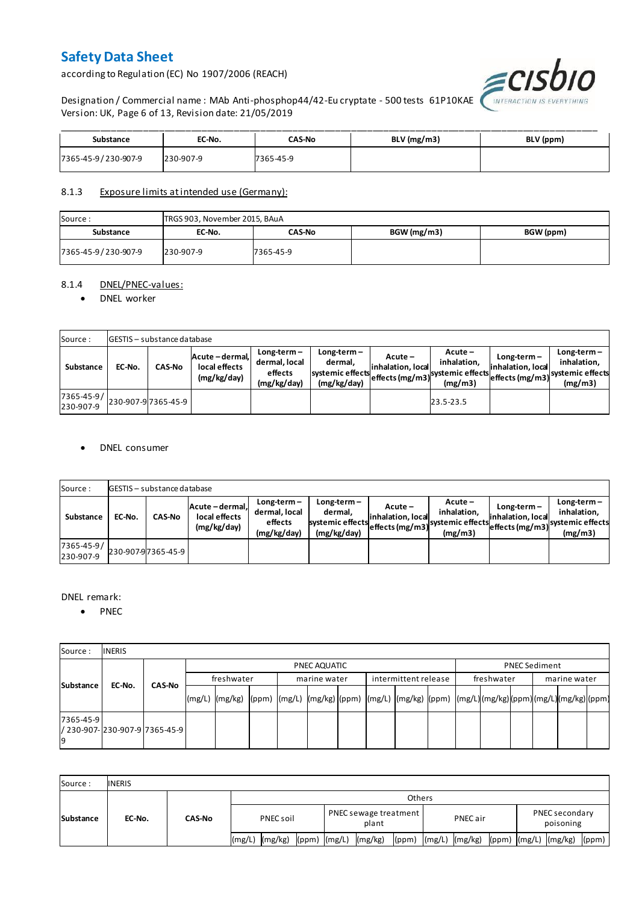according to Regulation (EC) No 1907/2006 (REACH)



Designation / Commercial name : MAb Anti-phosphop44/42-Eu cryptate - 500 tests 61P10KAE Version: UK, Page 6 of 13, Revision date: 21/05/2019

| Substance           | EC-No.    | <b>CAS-No</b> | BLV (mg/m3) | BLV (ppm) |
|---------------------|-----------|---------------|-------------|-----------|
| 7365-45-9/230-907-9 | 230-907-9 | 7365-45-9     |             |           |

### 8.1.3 Exposure limits at intended use (Germany):

| Source:             | TRGS 903, November 2015, BAuA |           |             |           |  |  |  |  |  |  |  |
|---------------------|-------------------------------|-----------|-------------|-----------|--|--|--|--|--|--|--|
| Substance           | EC-No.                        | CAS-No    | BGW (mg/m3) | BGW (ppm) |  |  |  |  |  |  |  |
| 7365-45-9/230-907-9 | 230-907-9                     | 7365-45-9 |             |           |  |  |  |  |  |  |  |

### 8.1.4 DNEL/PNEC-values:

### • DNEL worker

| Source:                 |        | <b>GESTIS</b> - substance database |                                                 |                                                          |                                                           |                                 |                                                                            |                                    |                                                                                 |  |  |  |  |  |  |
|-------------------------|--------|------------------------------------|-------------------------------------------------|----------------------------------------------------------|-----------------------------------------------------------|---------------------------------|----------------------------------------------------------------------------|------------------------------------|---------------------------------------------------------------------------------|--|--|--|--|--|--|
| Substance               | EC-No. | <b>CAS-No</b>                      | Acute - dermal,<br>local effects<br>(mg/kg/day) | $Long-term -$<br>dermal, local<br>effects<br>(mg/kg/day) | Long-term –<br>dermal.<br>systemic effects<br>(mg/kg/day) | $Acute -$<br>linhalation. local | $Acute -$<br>inhalation.<br>vuleffects (mg/m3) systemic effects<br>(mg/m3) | $Long-term -$<br>inhalation, local | $Long-term -$<br>inhalation.<br>~~ leffects (mg/m3) systemic effects<br>(mg/m3) |  |  |  |  |  |  |
| 7365-45-9/<br>230-907-9 |        | 230-907-97365-45-9                 |                                                 |                                                          |                                                           |                                 | 23.5-23.5                                                                  |                                    |                                                                                 |  |  |  |  |  |  |

### DNEL consumer

| Source:                       |        | GESTIS - substance database |                                               |                                                          |                                                             |                              |                                                                           |                                  |                                                                              |  |  |  |  |  |
|-------------------------------|--------|-----------------------------|-----------------------------------------------|----------------------------------------------------------|-------------------------------------------------------------|------------------------------|---------------------------------------------------------------------------|----------------------------------|------------------------------------------------------------------------------|--|--|--|--|--|
| Substance                     | EC-No. | <b>CAS-No</b>               | Acute-dermal.<br>local effects<br>(mg/kg/day) | $Long-term -$<br>dermal, local<br>effects<br>(mg/kg/day) | $Long-term -$<br>dermal,<br>systemic effects<br>(mg/kg/day) | Acute –<br>inhalation, local | $Acute -$<br>inhalation.<br>"leffects (mg/m3) systemic effects<br>(mg/m3) | Long-term –<br>inhalation, local | $Long-term -$<br>inhalation.<br>weffects (mg/m3) systemic effects<br>(mg/m3) |  |  |  |  |  |
| $7365 - 45 - 9/$<br>230-907-9 |        | 230-907-97365-45-9          |                                               |                                                          |                                                             |                              |                                                                           |                                  |                                                                              |  |  |  |  |  |

### DNEL remark:

• PNEC

| Source:         | <b>INERIS</b>                    |               |            |                                                                                                                  |  |  |              |  |                      |  |            |  |                      |  |  |
|-----------------|----------------------------------|---------------|------------|------------------------------------------------------------------------------------------------------------------|--|--|--------------|--|----------------------|--|------------|--|----------------------|--|--|
| Substance       |                                  |               |            | PNEC AQUATIC                                                                                                     |  |  |              |  |                      |  |            |  | <b>PNEC Sediment</b> |  |  |
|                 | EC-No.                           | <b>CAS-No</b> | freshwater |                                                                                                                  |  |  | marine water |  | intermittent release |  | freshwater |  | marine water         |  |  |
|                 |                                  |               |            | (mg/L)  (mg/kg)  (ppm)  (mg/L)  (mg/kg) (ppm)  (mg/L)  (mg/kg)  (ppm)  (mg/L) (mg/kg) (ppm) (mg/L) (mg/kg) (ppm) |  |  |              |  |                      |  |            |  |                      |  |  |
| 7365-45-9<br>19 | l/ 230-907-l230-907-9l7365-45-9l |               |            |                                                                                                                  |  |  |              |  |                      |  |            |  |                      |  |  |

| Source:          | <b>INERIS</b> |               |                    |                                      |                |                               |  |  |  |  |  |
|------------------|---------------|---------------|--------------------|--------------------------------------|----------------|-------------------------------|--|--|--|--|--|
| <b>Substance</b> | EC-No.        | <b>CAS-No</b> | <b>Others</b>      |                                      |                |                               |  |  |  |  |  |
|                  |               |               | PNEC soil          | PNEC sewage treatment<br>plant       | PNEC air       | PNEC secondary<br>poisoning   |  |  |  |  |  |
|                  |               |               | (mg/kg)<br>l(mg/L) | (mg/kg)<br>$(ppm)$ $(mg/L)$<br>(ppm) | (mg/L) (mg/kg) | (ppm) (mg/L) (mg/kg)<br>(ppm) |  |  |  |  |  |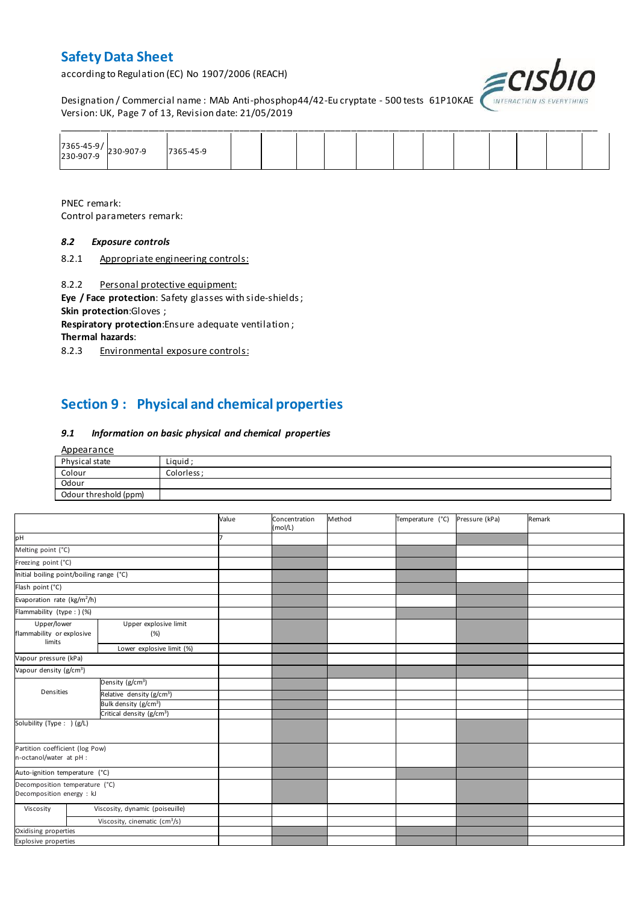according to Regulation (EC) No 1907/2006 (REACH)



Designation / Commercial name : MAb Anti-phosphop44/42-Eu cryptate - 500 tests 61P10KAE *INTERACTION IS I* Version: UK, Page 7 of 13, Revision date: 21/05/2019

| 7365-45-9/<br>230-907-9 230-907-9 | 7365-45-9 |  |  |  |  |  |  |
|-----------------------------------|-----------|--|--|--|--|--|--|

PNEC remark: Control parameters remark:

### *8.2 Exposure controls*

8.2.1 Appropriate engineering controls:

8.2.2 Personal protective equipment:

**Eye / Face protection**: Safety glasses with side-shields ; **Skin protection**:Gloves ;

**Respiratory protection**:Ensure adequate ventilation ;

**Thermal hazards**:

8.2.3 Environmental exposure controls:

## **Section 9 : Physical and chemical properties**

#### *9.1 Information on basic physical and chemical properties*

| Appearance            |             |
|-----------------------|-------------|
| Physical state        | Liquid;     |
| Colour                | Colorless ; |
| Odour                 |             |
| Odour threshold (ppm) |             |

|                                                             |                                           | Value | Concentration<br>(mol/L) | Method | Temperature (°C) | Pressure (kPa) | Remark |
|-------------------------------------------------------------|-------------------------------------------|-------|--------------------------|--------|------------------|----------------|--------|
| pH                                                          |                                           |       |                          |        |                  |                |        |
| Melting point (°C)                                          |                                           |       |                          |        |                  |                |        |
| Freezing point (°C)                                         |                                           |       |                          |        |                  |                |        |
| Initial boiling point/boiling range (°C)                    |                                           |       |                          |        |                  |                |        |
| Flash point (°C)                                            |                                           |       |                          |        |                  |                |        |
| Evaporation rate (kg/m <sup>2</sup> /h)                     |                                           |       |                          |        |                  |                |        |
| Flammability (type : ) (%)                                  |                                           |       |                          |        |                  |                |        |
| Upper/lower<br>flammability or explosive<br>limits          | Upper explosive limit<br>(%)              |       |                          |        |                  |                |        |
|                                                             | Lower explosive limit (%)                 |       |                          |        |                  |                |        |
| Vapour pressure (kPa)                                       |                                           |       |                          |        |                  |                |        |
| Vapour density (g/cm <sup>3</sup> )                         |                                           |       |                          |        |                  |                |        |
|                                                             | Density ( $g/cm3$ )                       |       |                          |        |                  |                |        |
| Densities                                                   | Relative density (g/cm <sup>3</sup> )     |       |                          |        |                  |                |        |
|                                                             | Bulk density (g/cm <sup>3</sup> )         |       |                          |        |                  |                |        |
|                                                             | Critical density (g/cm <sup>3</sup> )     |       |                          |        |                  |                |        |
| Solubility (Type: ) (g/L)                                   |                                           |       |                          |        |                  |                |        |
| Partition coefficient (log Pow)<br>n-octanol/water at pH :  |                                           |       |                          |        |                  |                |        |
| Auto-ignition temperature (°C)                              |                                           |       |                          |        |                  |                |        |
| Decomposition temperature (°C)<br>Decomposition energy : kJ |                                           |       |                          |        |                  |                |        |
| Viscosity                                                   | Viscosity, dynamic (poiseuille)           |       |                          |        |                  |                |        |
|                                                             | Viscosity, cinematic (cm <sup>3</sup> /s) |       |                          |        |                  |                |        |
| Oxidising properties                                        |                                           |       |                          |        |                  |                |        |
| Explosive properties                                        |                                           |       |                          |        |                  |                |        |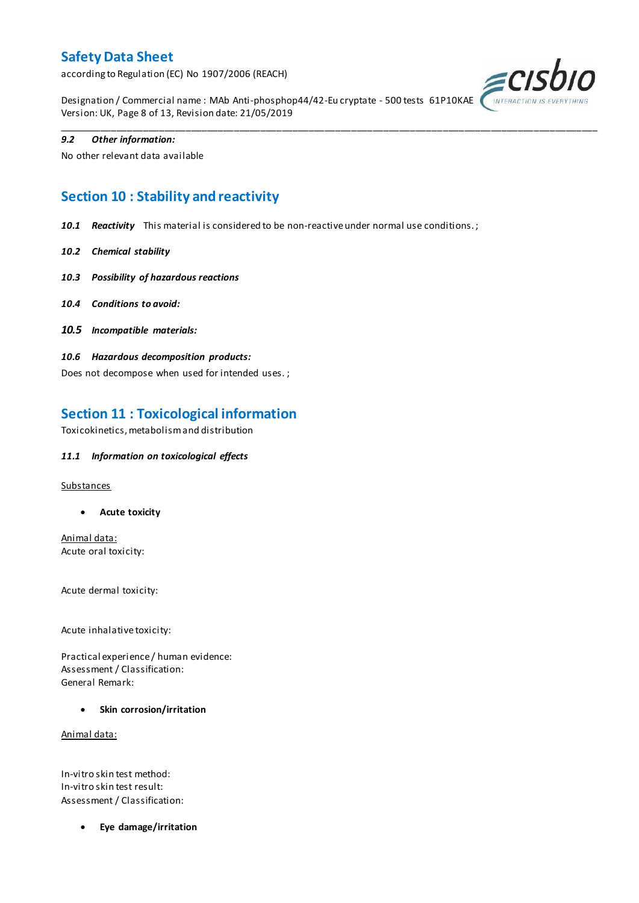according to Regulation (EC) No 1907/2006 (REACH)



Designation / Commercial name : MAb Anti-phosphop44/42-Eu cryptate - 500 tests 61P10KAE Version: UK, Page 8 of 13, Revision date: 21/05/2019

\_\_\_\_\_\_\_\_\_\_\_\_\_\_\_\_\_\_\_\_\_\_\_\_\_\_\_\_\_\_\_\_\_\_\_\_\_\_\_\_\_\_\_\_\_\_\_\_\_\_\_\_\_\_\_\_\_\_\_\_\_\_\_\_\_\_\_\_\_\_\_\_\_\_\_\_\_\_\_\_\_\_\_\_\_\_\_\_\_\_\_\_\_\_\_\_\_\_\_\_\_

### *9.2 Other information:*

No other relevant data available

## **Section 10 : Stability and reactivity**

*10.1 Reactivity* This material is considered to be non-reactive under normal use conditions. ;

- *10.2 Chemical stability*
- *10.3 Possibility of hazardous reactions*
- *10.4 Conditions to avoid:*
- *10.5 Incompatible materials:*
- *10.6 Hazardous decomposition products:*

Does not decompose when used for intended uses. ;

## **Section 11 : Toxicological information**

Toxicokinetics, metabolism and distribution

### *11.1 Information on toxicological effects*

#### **Substances**

**Acute toxicity**

Animal data: Acute oral toxicity:

Acute dermal toxicity:

Acute inhalative toxicity:

Practical experience / human evidence: Assessment / Classification: General Remark:

**Skin corrosion/irritation**

Animal data:

In-vitro skin test method: In-vitro skin test result: Assessment / Classification:

**Eye damage/irritation**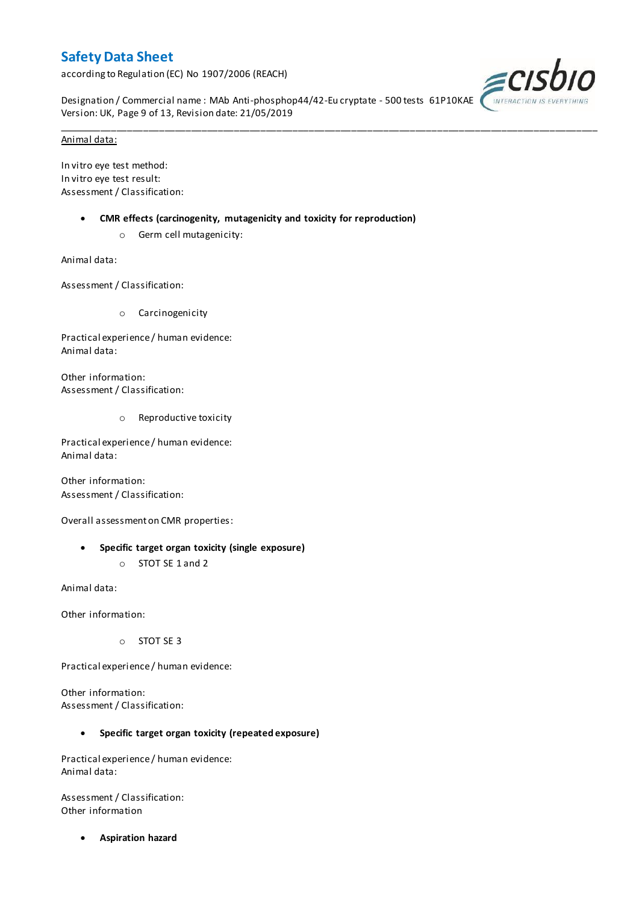according to Regulation (EC) No 1907/2006 (REACH)



Designation / Commercial name : MAb Anti-phosphop44/42-Eu cryptate - 500 tests 61P10KAE Version: UK, Page 9 of 13, Revision date: 21/05/2019

\_\_\_\_\_\_\_\_\_\_\_\_\_\_\_\_\_\_\_\_\_\_\_\_\_\_\_\_\_\_\_\_\_\_\_\_\_\_\_\_\_\_\_\_\_\_\_\_\_\_\_\_\_\_\_\_\_\_\_\_\_\_\_\_\_\_\_\_\_\_\_\_\_\_\_\_\_\_\_\_\_\_\_\_\_\_\_\_\_\_\_\_\_\_\_\_\_\_\_\_\_

#### Animal data:

In vitro eye test method: In vitro eye test result: Assessment / Classification:

- **CMR effects (carcinogenity, mutagenicity and toxicity for reproduction)**
	- o Germ cell mutagenicity:

Animal data:

Assessment / Classification:

o Carcinogenicity

Practical experience / human evidence: Animal data:

Other information: Assessment / Classification:

o Reproductive toxicity

Practical experience / human evidence: Animal data:

Other information: Assessment / Classification:

Overall assessment on CMR properties:

- **Specific target organ toxicity (single exposure)**
	- o STOT SE 1 and 2

Animal data:

Other information:

o STOT SE 3

Practical experience / human evidence:

Other information: Assessment / Classification:

### **Specific target organ toxicity (repeated exposure)**

Practical experience / human evidence: Animal data:

Assessment / Classification: Other information

**Aspiration hazard**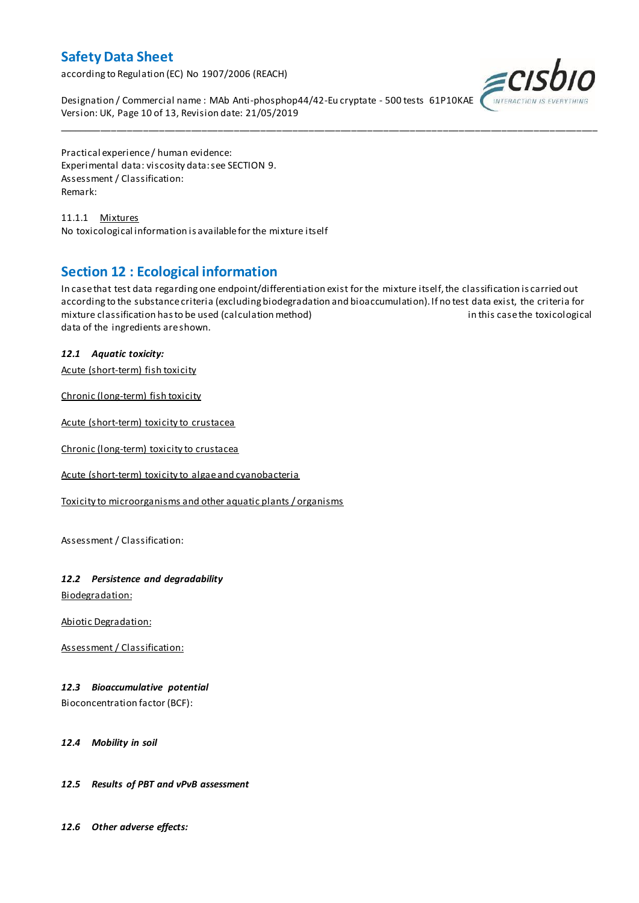according to Regulation (EC) No 1907/2006 (REACH)



Designation / Commercial name : MAb Anti-phosphop44/42-Eu cryptate - 500 tests 61P10KAE Version: UK, Page 10 of 13, Revision date: 21/05/2019

Practical experience / human evidence: Experimental data: viscosity data: see SECTION 9. Assessment / Classification: Remark:

11.1.1 Mixtures No toxicological information is available for the mixture itself

## **Section 12 : Ecological information**

In case that test data regarding one endpoint/differentiation exist for the mixture itself, the classification is carried out according to the substance criteria (excluding biodegradation and bioaccumulation). If no test data exist, the criteria for mixture classification has to be used (calculation method) in this case the toxicological data of the ingredients are shown.

\_\_\_\_\_\_\_\_\_\_\_\_\_\_\_\_\_\_\_\_\_\_\_\_\_\_\_\_\_\_\_\_\_\_\_\_\_\_\_\_\_\_\_\_\_\_\_\_\_\_\_\_\_\_\_\_\_\_\_\_\_\_\_\_\_\_\_\_\_\_\_\_\_\_\_\_\_\_\_\_\_\_\_\_\_\_\_\_\_\_\_\_\_\_\_\_\_\_\_\_\_

### *12.1 Aquatic toxicity:*

Acute (short-term) fish toxicity

Chronic (long-term) fish toxicity

Acute (short-term) toxicity to crustacea

Chronic (long-term) toxicity to crustacea

Acute (short-term) toxicity to algae and cyanobacteria

Toxicity to microorganisms and other aquatic plants / organisms

Assessment / Classification:

### *12.2 Persistence and degradability*

Biodegradation:

Abiotic Degradation:

Assessment / Classification:

### *12.3 Bioaccumulative potential*

Bioconcentration factor (BCF):

*12.4 Mobility in soil*

### *12.5 Results of PBT and vPvB assessment*

*12.6 Other adverse effects:*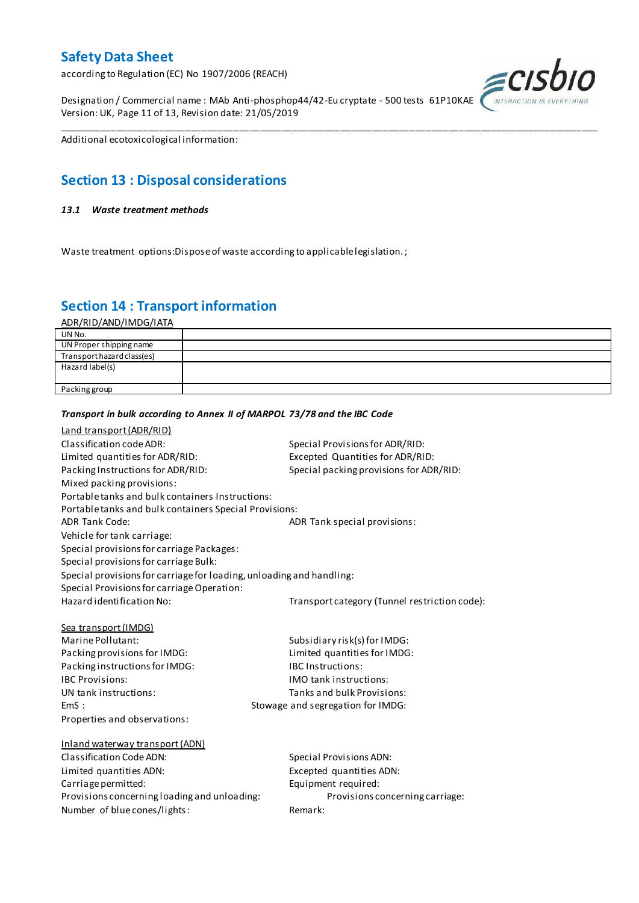according to Regulation (EC) No 1907/2006 (REACH)

Designation / Commercial name : MAb Anti-phosphop44/42-Eu cryptate - 500 tests 61P10KAE Version: UK, Page 11 of 13, Revision date: 21/05/2019



Additional ecotoxicological information:

## **Section 13 : Disposal considerations**

#### *13.1 Waste treatment methods*

Waste treatment options:Dispose of waste according to applicable legislation. ;

*Transport in bulk according to Annex II of MARPOL 73/78 and the IBC Code*

## **Section 14 : Transport information**

ADR/RID/AND/IMDG/IATA

| UN No.                     |  |
|----------------------------|--|
| UN Proper shipping name    |  |
| Transport hazard class(es) |  |
| Hazard label(s)            |  |
|                            |  |
| Packing group              |  |

\_\_\_\_\_\_\_\_\_\_\_\_\_\_\_\_\_\_\_\_\_\_\_\_\_\_\_\_\_\_\_\_\_\_\_\_\_\_\_\_\_\_\_\_\_\_\_\_\_\_\_\_\_\_\_\_\_\_\_\_\_\_\_\_\_\_\_\_\_\_\_\_\_\_\_\_\_\_\_\_\_\_\_\_\_\_\_\_\_\_\_\_\_\_\_\_\_\_\_\_\_

### Land transport (ADR/RID) Classification code ADR: Special Provisions for ADR/RID: Limited quantities for ADR/RID:<br>
Packing Instructions for ADR/RID: Special packing provisions for ADI Special packing provisions for ADR/RID: Mixed packing provisions: Portable tanks and bulk containers Instructions: Portable tanks and bulk containers Special Provisions: ADR Tank Code: ADR Tank special provisions: Vehicle for tank carriage: Special provisions for carriage Packages: Special provisions for carriage Bulk: Special provisions for carriage for loading, unloading and handling: Special Provisions for carriage Operation: Hazard identification No: Transport category (Tunnel restriction code): Sea transport (IMDG) Marine Pollutant: Subsidiary risk(s) for IMDG: Packing provisions for IMDG: Limited quantities for IMDG: Packing instructions for IMDG: IBC Instructions: IBC Provisions: IMO tank instructions: UN tank instructions: Tanks and bulk Provisions: EmS : Stowage and segregation for IMDG: Properties and observations: Inland waterway transport (ADN) Classification Code ADN: Special Provisions ADN: Limited quantities ADN: Excepted quantities ADN: Carriage permitted: Carriage permitted: Provisions concerning loading and unloading: Provisions concerning carriage: Number of blue cones/lights: Remark: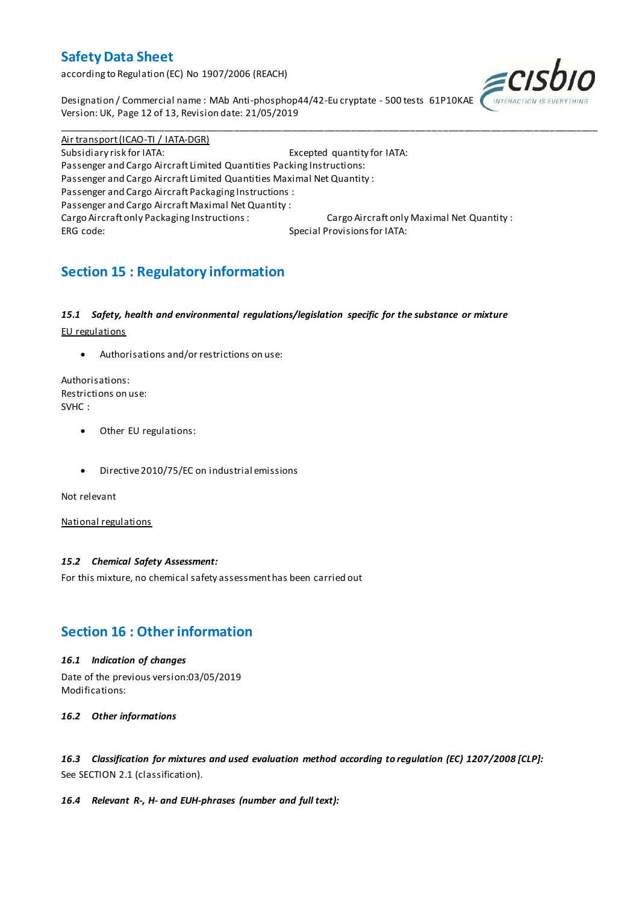according to Regulation (EC) No 1907/2006 (REACH)



Designation / Commercial name : MAb Anti-phosphop44/42-Eu cryptate - 500 tests 61P10KAE Version: UK, Page 12 of 13, Revision date: 21/05/2019

Air transport (ICAO-TI / IATA-DGR) Subsidiary risk for IATA: Excepted quantity for IATA: Passenger and Cargo Aircraft Limited Quantities Packing Instructions: Passenger and Cargo Aircraft Limited Quantities Maximal Net Quantity : Passenger and Cargo Aircraft Packaging Instructions : Passenger and Cargo Aircraft Maximal Net Quantity : Cargo Aircraft only Packaging Instructions : Cargo Aircraft only Maximal Net Quantity : ERG code: Special Provisions for IATA:

\_\_\_\_\_\_\_\_\_\_\_\_\_\_\_\_\_\_\_\_\_\_\_\_\_\_\_\_\_\_\_\_\_\_\_\_\_\_\_\_\_\_\_\_\_\_\_\_\_\_\_\_\_\_\_\_\_\_\_\_\_\_\_\_\_\_\_\_\_\_\_\_\_\_\_\_\_\_\_\_\_\_\_\_\_\_\_\_\_\_\_\_\_\_\_\_\_\_\_\_\_

## **Section 15 : Regulatory information**

### *15.1 Safety, health and environmental regulations/legislation specific for the substance or mixture*

EU regulations

Authorisations and/or restrictions on use:

Authorisations: Restrictions on use: SVHC :

- Other EU regulations:
- Directive 2010/75/EC on industrial emissions

Not relevant

National regulations

### *15.2 Chemical Safety Assessment:*

For this mixture, no chemical safety assessment has been carried out

## **Section 16 : Other information**

### *16.1 Indication of changes*

Date of the previous version:03/05/2019 Modifications:

*16.2 Other informations*

*16.3 Classification for mixtures and used evaluation method according to regulation (EC) 1207/2008 [CLP]:* See SECTION 2.1 (classification).

### *16.4 Relevant R-, H- and EUH-phrases (number and full text):*